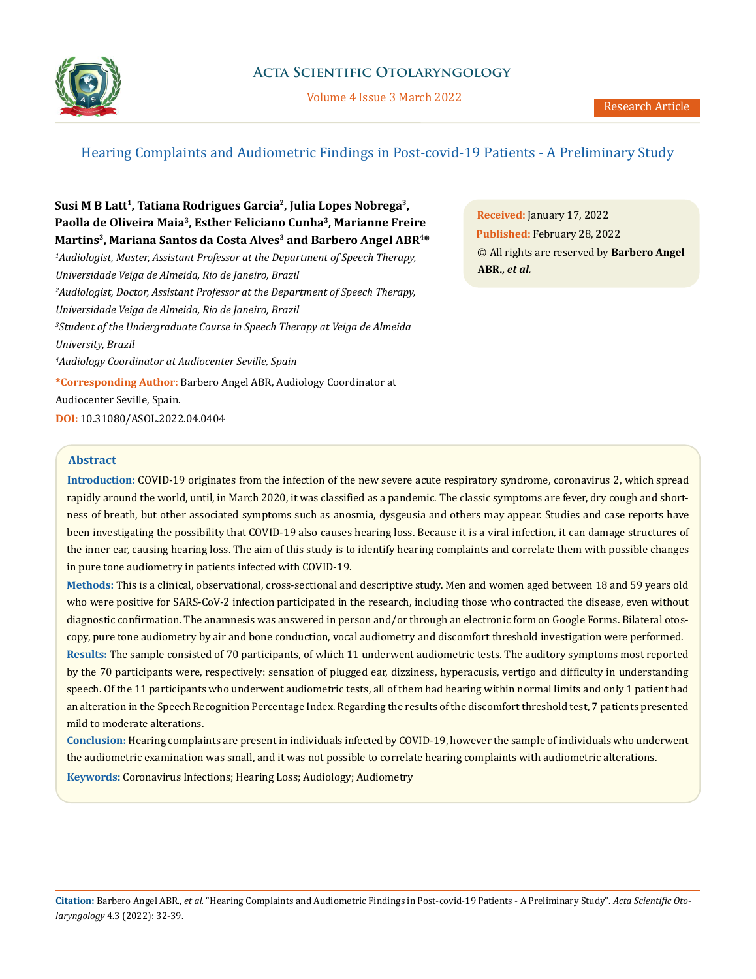

Volume 4 Issue 3 March 2022

# Hearing Complaints and Audiometric Findings in Post-covid-19 Patients - A Preliminary Study

**Susi M B Latt1, Tatiana Rodrigues Garcia2, Julia Lopes Nobrega3, Paolla de Oliveira Maia3, Esther Feliciano Cunha3, Marianne Freire Martins3, Mariana Santos da Costa Alves3 and Barbero Angel ABR4\***

*1 Audiologist, Master, Assistant Professor at the Department of Speech Therapy, Universidade Veiga de Almeida, Rio de Janeiro, Brazil 2 Audiologist, Doctor, Assistant Professor at the Department of Speech Therapy, Universidade Veiga de Almeida, Rio de Janeiro, Brazil 3 Student of the Undergraduate Course in Speech Therapy at Veiga de Almeida University, Brazil 4 Audiology Coordinator at Audiocenter Seville, Spain*

**\*Corresponding Author:** Barbero Angel ABR, Audiology Coordinator at Audiocenter Seville, Spain.

**DOI:** [10.31080/ASOL.2022.04.0](https://actascientific.com/ASOL/pdf/ASOL-04-0404.pdf)404

**Received:** January 17, 2022 **Published:** February 28, 2022 © All rights are reserved by **Barbero Angel ABR.,** *et al.*

## **Abstract**

**Introduction:** COVID-19 originates from the infection of the new severe acute respiratory syndrome, coronavirus 2, which spread rapidly around the world, until, in March 2020, it was classified as a pandemic. The classic symptoms are fever, dry cough and shortness of breath, but other associated symptoms such as anosmia, dysgeusia and others may appear. Studies and case reports have been investigating the possibility that COVID-19 also causes hearing loss. Because it is a viral infection, it can damage structures of the inner ear, causing hearing loss. The aim of this study is to identify hearing complaints and correlate them with possible changes in pure tone audiometry in patients infected with COVID-19.

**Methods:** This is a clinical, observational, cross-sectional and descriptive study. Men and women aged between 18 and 59 years old who were positive for SARS-CoV-2 infection participated in the research, including those who contracted the disease, even without diagnostic confirmation. The anamnesis was answered in person and/or through an electronic form on Google Forms. Bilateral otoscopy, pure tone audiometry by air and bone conduction, vocal audiometry and discomfort threshold investigation were performed.

**Results:** The sample consisted of 70 participants, of which 11 underwent audiometric tests. The auditory symptoms most reported by the 70 participants were, respectively: sensation of plugged ear, dizziness, hyperacusis, vertigo and difficulty in understanding speech. Of the 11 participants who underwent audiometric tests, all of them had hearing within normal limits and only 1 patient had an alteration in the Speech Recognition Percentage Index. Regarding the results of the discomfort threshold test, 7 patients presented mild to moderate alterations.

**Conclusion:** Hearing complaints are present in individuals infected by COVID-19, however the sample of individuals who underwent the audiometric examination was small, and it was not possible to correlate hearing complaints with audiometric alterations.

**Keywords:** Coronavirus Infections; Hearing Loss; Audiology; Audiometry

**Citation:** Barbero Angel ABR*., et al.* "Hearing Complaints and Audiometric Findings in Post-covid-19 Patients - A Preliminary Study". *Acta Scientific Otolaryngology* 4.3 (2022): 32-39.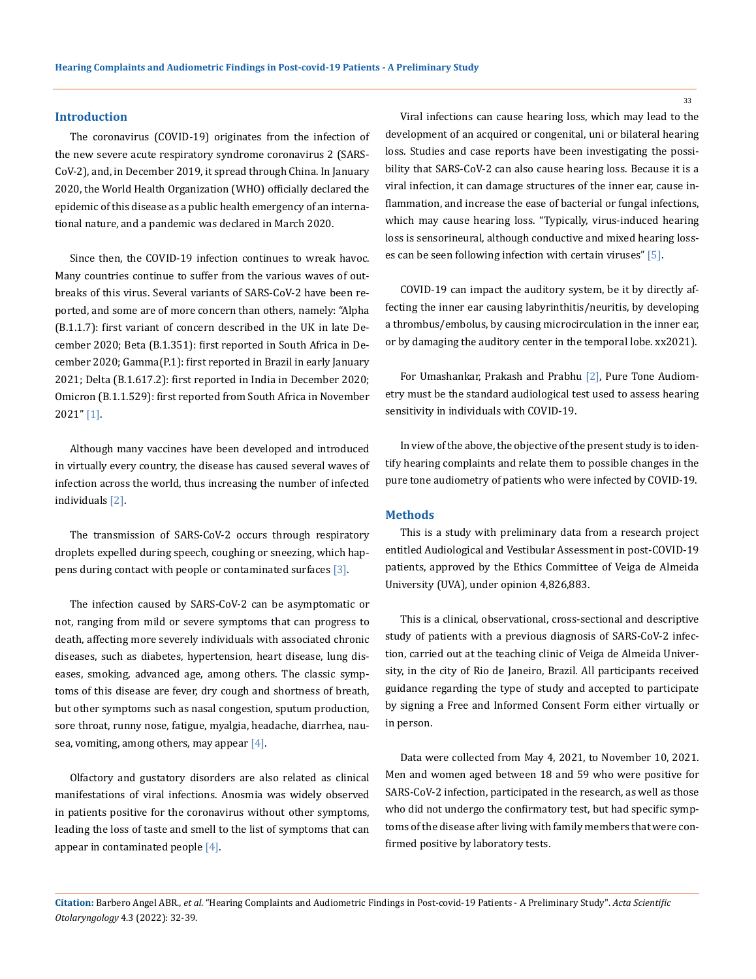#### **Introduction**

The coronavirus (COVID-19) originates from the infection of the new severe acute respiratory syndrome coronavirus 2 (SARS-CoV-2), and, in December 2019, it spread through China. In January 2020, the World Health Organization (WHO) officially declared the epidemic of this disease as a public health emergency of an international nature, and a pandemic was declared in March 2020.

Since then, the COVID-19 infection continues to wreak havoc. Many countries continue to suffer from the various waves of outbreaks of this virus. Several variants of SARS-CoV-2 have been reported, and some are of more concern than others, namely: "Alpha (B.1.1.7): first variant of concern described in the UK in late December 2020; Beta (B.1.351): first reported in South Africa in December 2020; Gamma(P.1): first reported in Brazil in early January 2021; Delta (B.1.617.2): first reported in India in December 2020; Omicron (B.1.1.529): first reported from South Africa in November 2021" [1].

Although many vaccines have been developed and introduced in virtually every country, the disease has caused several waves of infection across the world, thus increasing the number of infected individuals [2].

The transmission of SARS-CoV-2 occurs through respiratory droplets expelled during speech, coughing or sneezing, which happens during contact with people or contaminated surfaces [3].

The infection caused by SARS-CoV-2 can be asymptomatic or not, ranging from mild or severe symptoms that can progress to death, affecting more severely individuals with associated chronic diseases, such as diabetes, hypertension, heart disease, lung diseases, smoking, advanced age, among others. The classic symptoms of this disease are fever, dry cough and shortness of breath, but other symptoms such as nasal congestion, sputum production, sore throat, runny nose, fatigue, myalgia, headache, diarrhea, nausea, vomiting, among others, may appear  $[4]$ .

Olfactory and gustatory disorders are also related as clinical manifestations of viral infections. Anosmia was widely observed in patients positive for the coronavirus without other symptoms, leading the loss of taste and smell to the list of symptoms that can appear in contaminated people  $[4]$ .

Viral infections can cause hearing loss, which may lead to the development of an acquired or congenital, uni or bilateral hearing loss. Studies and case reports have been investigating the possibility that SARS-CoV-2 can also cause hearing loss. Because it is a viral infection, it can damage structures of the inner ear, cause inflammation, and increase the ease of bacterial or fungal infections, which may cause hearing loss. "Typically, virus-induced hearing loss is sensorineural, although conductive and mixed hearing losses can be seen following infection with certain viruses" [5].

COVID-19 can impact the auditory system, be it by directly affecting the inner ear causing labyrinthitis/neuritis, by developing a thrombus/embolus, by causing microcirculation in the inner ear, or by damaging the auditory center in the temporal lobe. xx2021).

For Umashankar, Prakash and Prabhu [2], Pure Tone Audiometry must be the standard audiological test used to assess hearing sensitivity in individuals with COVID-19.

In view of the above, the objective of the present study is to identify hearing complaints and relate them to possible changes in the pure tone audiometry of patients who were infected by COVID-19.

#### **Methods**

This is a study with preliminary data from a research project entitled Audiological and Vestibular Assessment in post-COVID-19 patients, approved by the Ethics Committee of Veiga de Almeida University (UVA), under opinion 4,826,883.

This is a clinical, observational, cross-sectional and descriptive study of patients with a previous diagnosis of SARS-CoV-2 infection, carried out at the teaching clinic of Veiga de Almeida University, in the city of Rio de Janeiro, Brazil. All participants received guidance regarding the type of study and accepted to participate by signing a Free and Informed Consent Form either virtually or in person.

Data were collected from May 4, 2021, to November 10, 2021. Men and women aged between 18 and 59 who were positive for SARS-CoV-2 infection, participated in the research, as well as those who did not undergo the confirmatory test, but had specific symptoms of the disease after living with family members that were confirmed positive by laboratory tests.

**Citation:** Barbero Angel ABR*., et al.* "Hearing Complaints and Audiometric Findings in Post-covid-19 Patients - A Preliminary Study". *Acta Scientific Otolaryngology* 4.3 (2022): 32-39.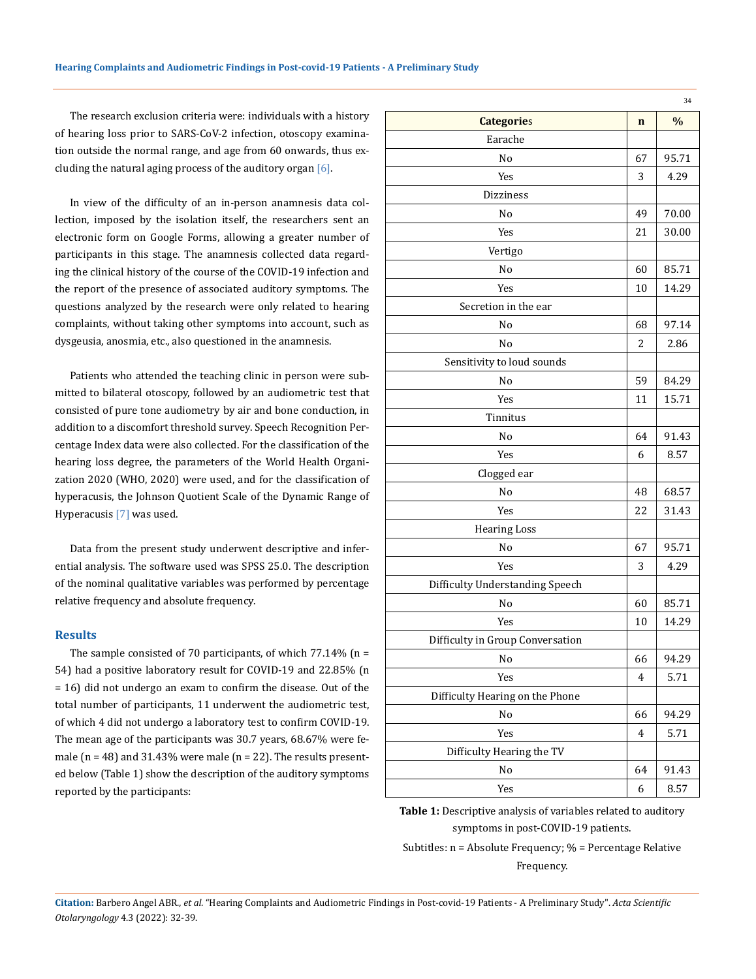The research exclusion criteria were: individuals with a history of hearing loss prior to SARS-CoV-2 infection, otoscopy examination outside the normal range, and age from 60 onwards, thus excluding the natural aging process of the auditory organ [6].

In view of the difficulty of an in-person anamnesis data collection, imposed by the isolation itself, the researchers sent an electronic form on Google Forms, allowing a greater number of participants in this stage. The anamnesis collected data regarding the clinical history of the course of the COVID-19 infection and the report of the presence of associated auditory symptoms. The questions analyzed by the research were only related to hearing complaints, without taking other symptoms into account, such as dysgeusia, anosmia, etc., also questioned in the anamnesis.

Patients who attended the teaching clinic in person were submitted to bilateral otoscopy, followed by an audiometric test that consisted of pure tone audiometry by air and bone conduction, in addition to a discomfort threshold survey. Speech Recognition Percentage Index data were also collected. For the classification of the hearing loss degree, the parameters of the World Health Organization 2020 (WHO, 2020) were used, and for the classification of hyperacusis, the Johnson Quotient Scale of the Dynamic Range of Hyperacusis [7] was used.

Data from the present study underwent descriptive and inferential analysis. The software used was SPSS 25.0. The description of the nominal qualitative variables was performed by percentage relative frequency and absolute frequency.

#### **Results**

The sample consisted of 70 participants, of which  $77.14\%$  (n = 54) had a positive laboratory result for COVID-19 and 22.85% (n = 16) did not undergo an exam to confirm the disease. Out of the total number of participants, 11 underwent the audiometric test, of which 4 did not undergo a laboratory test to confirm COVID-19. The mean age of the participants was 30.7 years, 68.67% were female ( $n = 48$ ) and 31.43% were male ( $n = 22$ ). The results presented below (Table 1) show the description of the auditory symptoms reported by the participants:

|                                  |                | 34            |
|----------------------------------|----------------|---------------|
| <b>Categories</b>                | $\mathbf n$    | $\frac{0}{0}$ |
| Earache                          |                |               |
| No                               | 67             | 95.71         |
| Yes                              | 3              | 4.29          |
| <b>Dizziness</b>                 |                |               |
| No                               | 49             | 70.00         |
| Yes                              | 21             | 30.00         |
| Vertigo                          |                |               |
| No                               | 60             | 85.71         |
| Yes                              | 10             | 14.29         |
| Secretion in the ear             |                |               |
| No                               | 68             | 97.14         |
| No                               | 2              | 2.86          |
| Sensitivity to loud sounds       |                |               |
| No                               | 59             | 84.29         |
| Yes                              | 11             | 15.71         |
| Tinnitus                         |                |               |
| No                               | 64             | 91.43         |
| Yes                              | 6              | 8.57          |
| Clogged ear                      |                |               |
| No                               | 48             | 68.57         |
| Yes                              | 22             | 31.43         |
| <b>Hearing Loss</b>              |                |               |
| No                               | 67             | 95.71         |
| Yes                              | 3              | 4.29          |
| Difficulty Understanding Speech  |                |               |
| No                               | 60             | 85.71         |
| Yes                              | 10             | 14.29         |
| Difficulty in Group Conversation |                |               |
| No                               | 66             | 94.29         |
| Yes                              | $\overline{4}$ | 5.71          |
| Difficulty Hearing on the Phone  |                |               |
| No                               | 66             | 94.29         |
| Yes                              | $\overline{4}$ | 5.71          |
| Difficulty Hearing the TV        |                |               |
| No                               | 64             | 91.43         |
| Yes                              | 6              | 8.57          |

**Table 1:** Descriptive analysis of variables related to auditory symptoms in post-COVID-19 patients.

Subtitles: n = Absolute Frequency; % = Percentage Relative Frequency.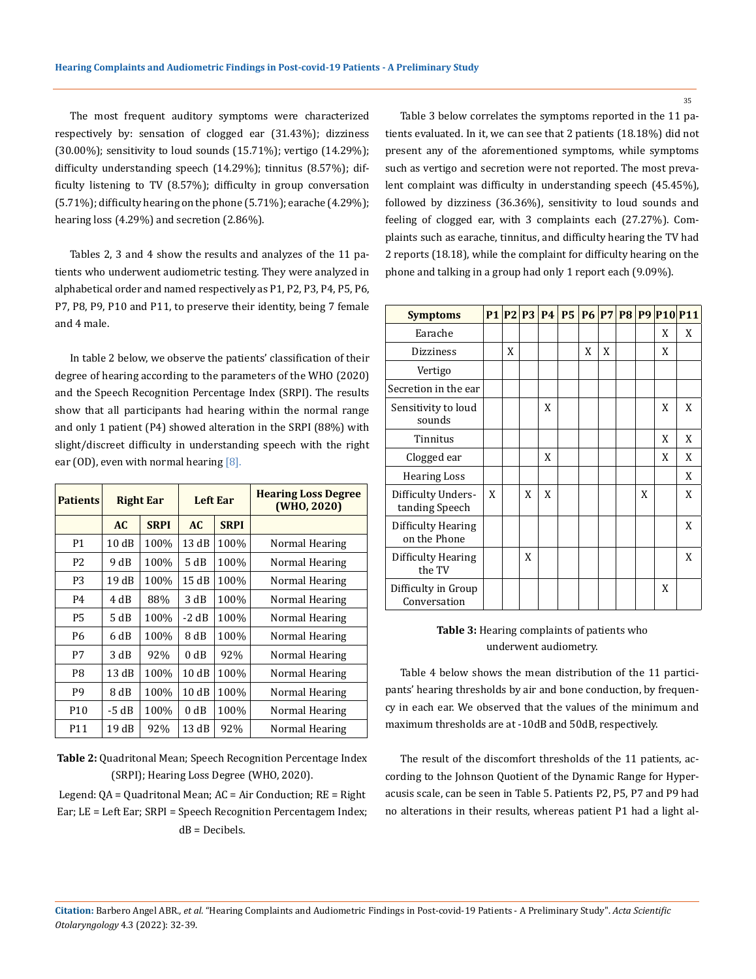The most frequent auditory symptoms were characterized respectively by: sensation of clogged ear (31.43%); dizziness (30.00%); sensitivity to loud sounds (15.71%); vertigo (14.29%); difficulty understanding speech (14.29%); tinnitus (8.57%); difficulty listening to TV (8.57%); difficulty in group conversation (5.71%); difficulty hearing on the phone (5.71%); earache (4.29%); hearing loss (4.29%) and secretion (2.86%).

Tables 2, 3 and 4 show the results and analyzes of the 11 patients who underwent audiometric testing. They were analyzed in alphabetical order and named respectively as P1, P2, P3, P4, P5, P6, P7, P8, P9, P10 and P11, to preserve their identity, being 7 female and 4 male.

In table 2 below, we observe the patients' classification of their degree of hearing according to the parameters of the WHO (2020) and the Speech Recognition Percentage Index (SRPI). The results show that all participants had hearing within the normal range and only 1 patient (P4) showed alteration in the SRPI (88%) with slight/discreet difficulty in understanding speech with the right ear (OD), even with normal hearing  $[8]$ .

| <b>Patients</b> |         | <b>Right Ear</b> | <b>Left Ear</b> |             | <b>Hearing Loss Degree</b><br>(WHO, 2020) |
|-----------------|---------|------------------|-----------------|-------------|-------------------------------------------|
|                 | AC      | <b>SRPI</b>      | AC              | <b>SRPI</b> |                                           |
| P1              | 10dB    | 100%             | 13dB            | 100%        | Normal Hearing                            |
| P <sub>2</sub>  | 9 dB    | 100%             | 5 dB            | 100%        | Normal Hearing                            |
| P <sub>3</sub>  | 19 dB   | 100%             | 15dB            | 100%        | Normal Hearing                            |
| P4              | 4 dB    | 88%              | 3 dB            | 100%        | Normal Hearing                            |
| <b>P5</b>       | 5 dB    | 100%             | $-2 dB$         | 100%        | Normal Hearing                            |
| P6              | 6 dB    | 100%             | 8 dB            | 100%        | Normal Hearing                            |
| P7              | 3 dB    | 92%              | 0 dB            | 92%         | Normal Hearing                            |
| P8              | 13 dB   | 100%             | 10dB            | 100%        | Normal Hearing                            |
| P9              | 8 dB    | 100%             | 10dB            | 100%        | Normal Hearing                            |
| P <sub>10</sub> | $-5 dB$ | 100%             | 0 dB            | 100%        | Normal Hearing                            |
| P11             | 19 dB   | 92%              | 13dB            | 92%         | Normal Hearing                            |

**Table 2:** Quadritonal Mean; Speech Recognition Percentage Index (SRPI); Hearing Loss Degree (WHO, 2020).

Legend: QA = Quadritonal Mean; AC = Air Conduction; RE = Right Ear; LE = Left Ear; SRPI = Speech Recognition Percentagem Index; dB = Decibels.

Table 3 below correlates the symptoms reported in the 11 patients evaluated. In it, we can see that 2 patients (18.18%) did not present any of the aforementioned symptoms, while symptoms such as vertigo and secretion were not reported. The most prevalent complaint was difficulty in understanding speech (45.45%), followed by dizziness (36.36%), sensitivity to loud sounds and feeling of clogged ear, with 3 complaints each (27.27%). Complaints such as earache, tinnitus, and difficulty hearing the TV had 2 reports (18.18), while the complaint for difficulty hearing on the phone and talking in a group had only 1 report each (9.09%).

| <b>Symptoms</b>                      |   |   |   |   |   |   |   |   | P1 P2 P3 P4 P5 P6 P7 P8 P9 P10 P11 |
|--------------------------------------|---|---|---|---|---|---|---|---|------------------------------------|
| Earache                              |   |   |   |   |   |   |   | X | X                                  |
| <b>Dizziness</b>                     |   | X |   |   | X | X |   | X |                                    |
| Vertigo                              |   |   |   |   |   |   |   |   |                                    |
| Secretion in the ear                 |   |   |   |   |   |   |   |   |                                    |
| Sensitivity to loud<br>sounds        |   |   |   | X |   |   |   | X | X                                  |
| Tinnitus                             |   |   |   |   |   |   |   | X | X                                  |
| Clogged ear                          |   |   |   | X |   |   |   | X | X                                  |
| <b>Hearing Loss</b>                  |   |   |   |   |   |   |   |   | X                                  |
| Difficulty Unders-<br>tanding Speech | X |   | X | X |   |   | X |   | X                                  |
| Difficulty Hearing<br>on the Phone   |   |   |   |   |   |   |   |   | X                                  |
| Difficulty Hearing<br>the TV         |   |   | X |   |   |   |   |   | X                                  |
| Difficulty in Group<br>Conversation  |   |   |   |   |   |   |   | X |                                    |

# **Table 3:** Hearing complaints of patients who underwent audiometry.

Table 4 below shows the mean distribution of the 11 participants' hearing thresholds by air and bone conduction, by frequency in each ear. We observed that the values of the minimum and maximum thresholds are at -10dB and 50dB, respectively.

The result of the discomfort thresholds of the 11 patients, according to the Johnson Quotient of the Dynamic Range for Hyperacusis scale, can be seen in Table 5. Patients P2, P5, P7 and P9 had no alterations in their results, whereas patient P1 had a light al-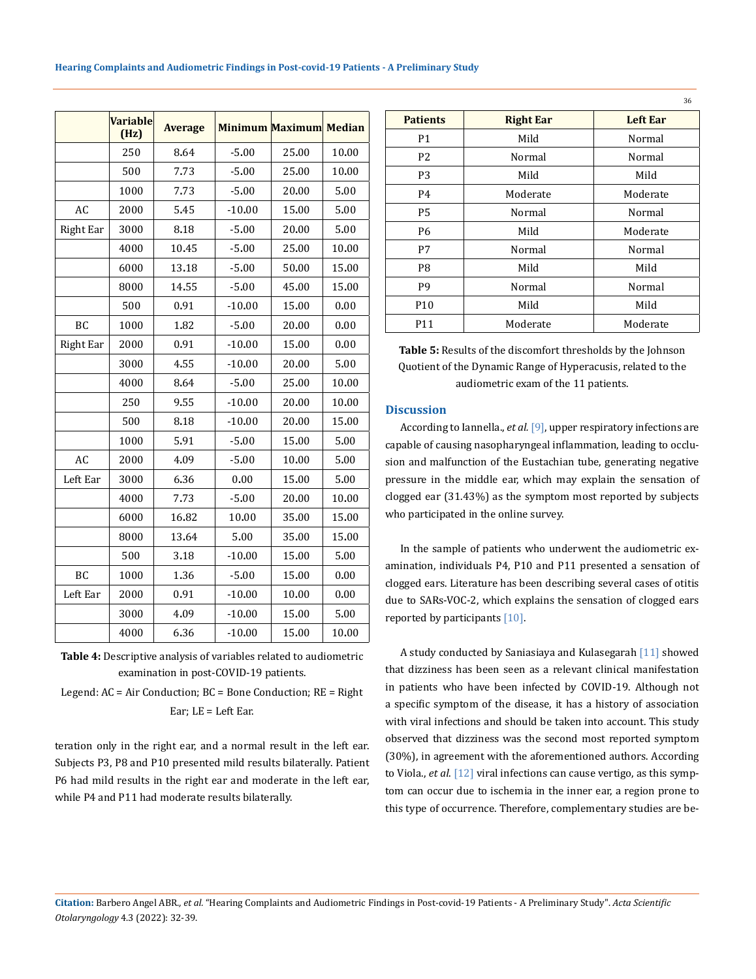|                  | <b>Variable</b><br>(Hz) | <b>Average</b> |          | <b>Minimum Maximum Median</b> |       |  |
|------------------|-------------------------|----------------|----------|-------------------------------|-------|--|
|                  | 250                     | 8.64           | $-5.00$  | 25.00                         | 10.00 |  |
|                  | 500                     | 7.73           | $-5.00$  | 25.00                         | 10.00 |  |
|                  | 1000                    | 7.73           | $-5.00$  | 20.00                         | 5.00  |  |
| AC               | 2000                    | 5.45           | $-10.00$ | 15.00                         | 5.00  |  |
| <b>Right Ear</b> | 3000                    | 8.18           | $-5.00$  | 20.00                         | 5.00  |  |
|                  | 4000                    | 10.45          | $-5.00$  | 25.00                         | 10.00 |  |
|                  | 6000                    | 13.18          | $-5.00$  | 50.00                         | 15.00 |  |
|                  | 8000                    | 14.55          | $-5.00$  | 45.00                         | 15.00 |  |
|                  | 500                     | 0.91           | $-10.00$ | 15.00                         | 0.00  |  |
| BC               | 1000                    | 1.82           | $-5.00$  | 20.00                         | 0.00  |  |
| <b>Right Ear</b> | 2000                    | 0.91           | $-10.00$ | 15.00                         | 0.00  |  |
|                  | 3000                    | 4.55           | $-10.00$ | 20.00                         | 5.00  |  |
|                  | 4000                    | 8.64           | $-5.00$  | 25.00                         | 10.00 |  |
|                  | 250                     | 9.55           | $-10.00$ | 20.00                         | 10.00 |  |
|                  | 500                     | 8.18           | $-10.00$ | 20.00                         | 15.00 |  |
|                  | 1000                    | 5.91           | $-5.00$  | 15.00                         | 5.00  |  |
| AC               | 2000                    | 4.09           | $-5.00$  | 10.00                         | 5.00  |  |
| Left Ear         | 3000                    | 6.36           | 0.00     | 15.00                         | 5.00  |  |
|                  | 4000                    | 7.73           | $-5.00$  | 20.00                         | 10.00 |  |
|                  | 6000                    | 16.82          | 10.00    | 35.00                         | 15.00 |  |
|                  | 8000                    | 13.64          | 5.00     | 35.00                         | 15.00 |  |
|                  | 500                     | 3.18           | $-10.00$ | 15.00                         | 5.00  |  |
| BC               | 1000                    | 1.36           | $-5.00$  | 15.00                         | 0.00  |  |
| Left Ear         | 2000                    | 0.91           | $-10.00$ | 10.00                         | 0.00  |  |
|                  | 3000                    | 4.09           | $-10.00$ | 15.00                         | 5.00  |  |
|                  | 4000                    | 6.36           | $-10.00$ | 15.00                         | 10.00 |  |

**Table 4:** Descriptive analysis of variables related to audiometric examination in post-COVID-19 patients.

Legend: AC = Air Conduction; BC = Bone Conduction; RE = Right Ear; LE = Left Ear.

teration only in the right ear, and a normal result in the left ear. Subjects P3, P8 and P10 presented mild results bilaterally. Patient P6 had mild results in the right ear and moderate in the left ear, while P4 and P11 had moderate results bilaterally.

|                 |                  | JU       |  |  |
|-----------------|------------------|----------|--|--|
| <b>Patients</b> | <b>Right Ear</b> | Left Ear |  |  |
| P1              | Mild             | Normal   |  |  |
| P <sub>2</sub>  | Normal           | Normal   |  |  |
| P <sub>3</sub>  | Mild             | Mild     |  |  |
| P4              | Moderate         | Moderate |  |  |
| P <sub>5</sub>  | Normal           | Normal   |  |  |
| <b>P6</b>       | Mild             | Moderate |  |  |
| P7              | Normal           | Normal   |  |  |
| P8              | Mild             | Mild     |  |  |
| P <sub>9</sub>  | Normal           | Normal   |  |  |
| P <sub>10</sub> | Mild             | Mild     |  |  |
| P11             | Moderate         | Moderate |  |  |

36

**Table 5:** Results of the discomfort thresholds by the Johnson Quotient of the Dynamic Range of Hyperacusis, related to the audiometric exam of the 11 patients.

# **Discussion**

According to Iannella., *et al.* [9], upper respiratory infections are capable of causing nasopharyngeal inflammation, leading to occlusion and malfunction of the Eustachian tube, generating negative pressure in the middle ear, which may explain the sensation of clogged ear (31.43%) as the symptom most reported by subjects who participated in the online survey.

In the sample of patients who underwent the audiometric examination, individuals P4, P10 and P11 presented a sensation of clogged ears. Literature has been describing several cases of otitis due to SARs-VOC-2, which explains the sensation of clogged ears reported by participants [10].

A study conducted by Saniasiaya and Kulasegarah [11] showed that dizziness has been seen as a relevant clinical manifestation in patients who have been infected by COVID-19. Although not a specific symptom of the disease, it has a history of association with viral infections and should be taken into account. This study observed that dizziness was the second most reported symptom (30%), in agreement with the aforementioned authors. According to Viola., *et al*. [12] viral infections can cause vertigo, as this symptom can occur due to ischemia in the inner ear, a region prone to this type of occurrence. Therefore, complementary studies are be-

**Citation:** Barbero Angel ABR*., et al.* "Hearing Complaints and Audiometric Findings in Post-covid-19 Patients - A Preliminary Study". *Acta Scientific Otolaryngology* 4.3 (2022): 32-39.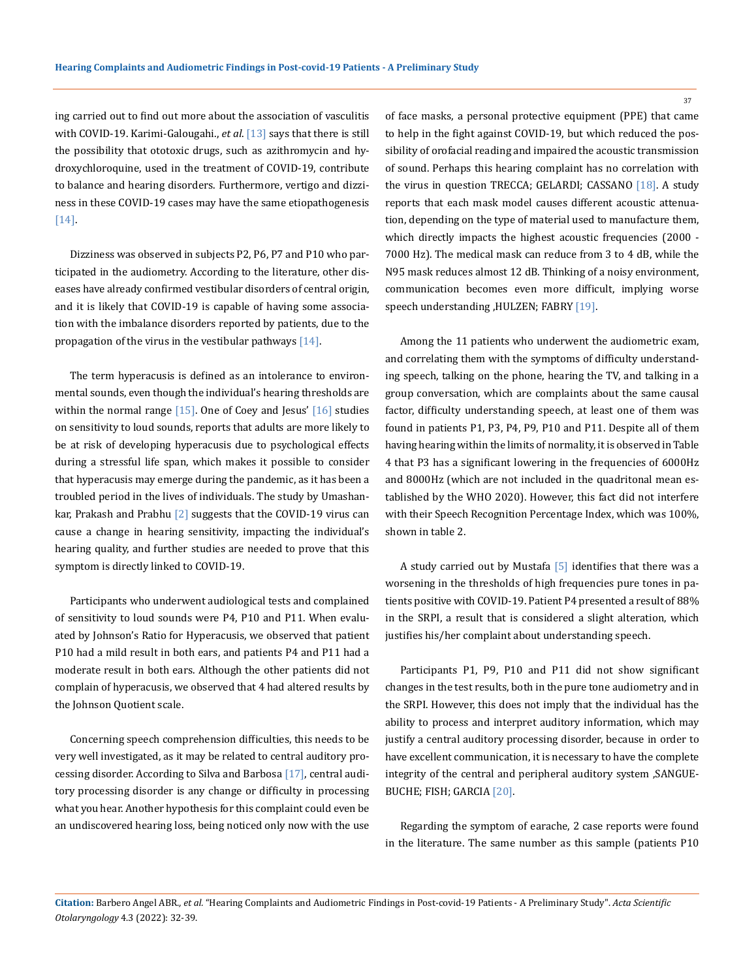ing carried out to find out more about the association of vasculitis with COVID-19. Karimi-Galougahi., *et al*. [13] says that there is still the possibility that ototoxic drugs, such as azithromycin and hydroxychloroquine, used in the treatment of COVID-19, contribute to balance and hearing disorders. Furthermore, vertigo and dizziness in these COVID-19 cases may have the same etiopathogenesis [14].

Dizziness was observed in subjects P2, P6, P7 and P10 who participated in the audiometry. According to the literature, other diseases have already confirmed vestibular disorders of central origin, and it is likely that COVID-19 is capable of having some association with the imbalance disorders reported by patients, due to the propagation of the virus in the vestibular pathways  $[14]$ .

The term hyperacusis is defined as an intolerance to environmental sounds, even though the individual's hearing thresholds are within the normal range  $[15]$ . One of Coey and Jesus'  $[16]$  studies on sensitivity to loud sounds, reports that adults are more likely to be at risk of developing hyperacusis due to psychological effects during a stressful life span, which makes it possible to consider that hyperacusis may emerge during the pandemic, as it has been a troubled period in the lives of individuals. The study by Umashankar, Prakash and Prabhu  $[2]$  suggests that the COVID-19 virus can cause a change in hearing sensitivity, impacting the individual's hearing quality, and further studies are needed to prove that this symptom is directly linked to COVID-19.

Participants who underwent audiological tests and complained of sensitivity to loud sounds were P4, P10 and P11. When evaluated by Johnson's Ratio for Hyperacusis, we observed that patient P10 had a mild result in both ears, and patients P4 and P11 had a moderate result in both ears. Although the other patients did not complain of hyperacusis, we observed that 4 had altered results by the Johnson Quotient scale.

Concerning speech comprehension difficulties, this needs to be very well investigated, as it may be related to central auditory processing disorder. According to Silva and Barbosa [17], central auditory processing disorder is any change or difficulty in processing what you hear. Another hypothesis for this complaint could even be an undiscovered hearing loss, being noticed only now with the use of face masks, a personal protective equipment (PPE) that came to help in the fight against COVID-19, but which reduced the possibility of orofacial reading and impaired the acoustic transmission of sound. Perhaps this hearing complaint has no correlation with the virus in question TRECCA; GELARDI; CASSANO [18]. A study reports that each mask model causes different acoustic attenuation, depending on the type of material used to manufacture them, which directly impacts the highest acoustic frequencies (2000 - 7000 Hz). The medical mask can reduce from 3 to 4 dB, while the N95 mask reduces almost 12 dB. Thinking of a noisy environment, communication becomes even more difficult, implying worse speech understanding ,HULZEN; FABRY [19].

Among the 11 patients who underwent the audiometric exam, and correlating them with the symptoms of difficulty understanding speech, talking on the phone, hearing the TV, and talking in a group conversation, which are complaints about the same causal factor, difficulty understanding speech, at least one of them was found in patients P1, P3, P4, P9, P10 and P11. Despite all of them having hearing within the limits of normality, it is observed in Table 4 that P3 has a significant lowering in the frequencies of 6000Hz and 8000Hz (which are not included in the quadritonal mean established by the WHO 2020). However, this fact did not interfere with their Speech Recognition Percentage Index, which was 100%, shown in table 2.

A study carried out by Mustafa  $[5]$  identifies that there was a worsening in the thresholds of high frequencies pure tones in patients positive with COVID-19. Patient P4 presented a result of 88% in the SRPI, a result that is considered a slight alteration, which justifies his/her complaint about understanding speech.

Participants P1, P9, P10 and P11 did not show significant changes in the test results, both in the pure tone audiometry and in the SRPI. However, this does not imply that the individual has the ability to process and interpret auditory information, which may justify a central auditory processing disorder, because in order to have excellent communication, it is necessary to have the complete integrity of the central and peripheral auditory system ,SANGUE-BUCHE; FISH; GARCIA [20].

Regarding the symptom of earache, 2 case reports were found in the literature. The same number as this sample (patients P10

**Citation:** Barbero Angel ABR*., et al.* "Hearing Complaints and Audiometric Findings in Post-covid-19 Patients - A Preliminary Study". *Acta Scientific Otolaryngology* 4.3 (2022): 32-39.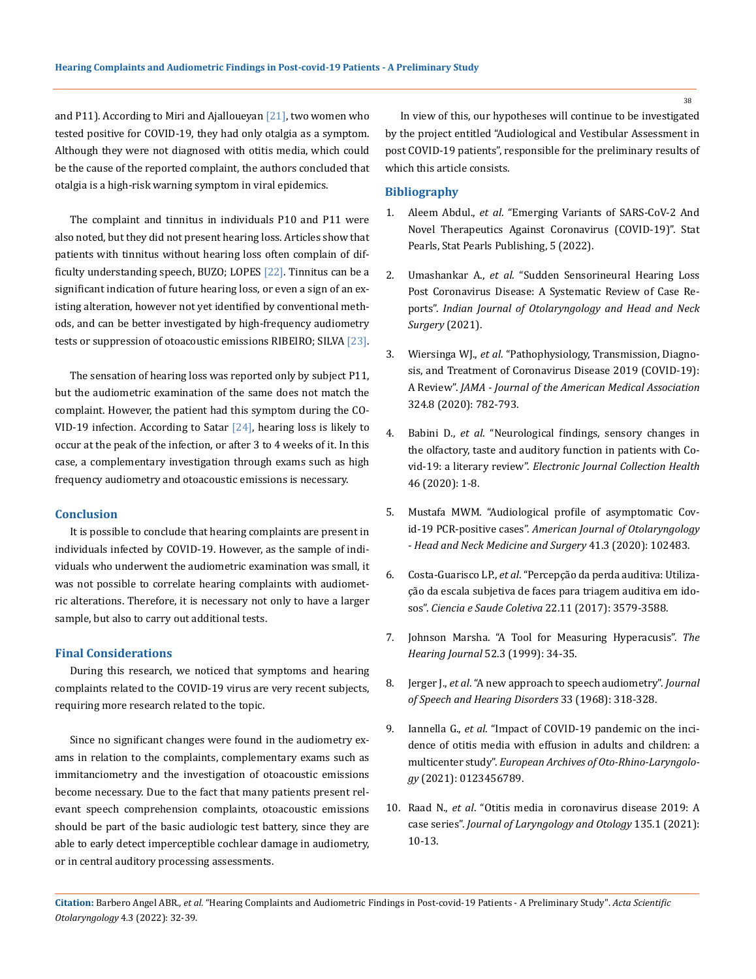and P11). According to Miri and Ajalloueyan [21], two women who tested positive for COVID-19, they had only otalgia as a symptom. Although they were not diagnosed with otitis media, which could be the cause of the reported complaint, the authors concluded that otalgia is a high-risk warning symptom in viral epidemics.

The complaint and tinnitus in individuals P10 and P11 were also noted, but they did not present hearing loss. Articles show that patients with tinnitus without hearing loss often complain of difficulty understanding speech, BUZO; LOPES [22]. Tinnitus can be a significant indication of future hearing loss, or even a sign of an existing alteration, however not yet identified by conventional methods, and can be better investigated by high-frequency audiometry tests or suppression of otoacoustic emissions RIBEIRO; SILVA [23].

The sensation of hearing loss was reported only by subject P11, but the audiometric examination of the same does not match the complaint. However, the patient had this symptom during the CO-VID-19 infection. According to Satar  $[24]$ , hearing loss is likely to occur at the peak of the infection, or after 3 to 4 weeks of it. In this case, a complementary investigation through exams such as high frequency audiometry and otoacoustic emissions is necessary.

#### **Conclusion**

It is possible to conclude that hearing complaints are present in individuals infected by COVID-19. However, as the sample of individuals who underwent the audiometric examination was small, it was not possible to correlate hearing complaints with audiometric alterations. Therefore, it is necessary not only to have a larger sample, but also to carry out additional tests.

# **Final Considerations**

During this research, we noticed that symptoms and hearing complaints related to the COVID-19 virus are very recent subjects, requiring more research related to the topic.

Since no significant changes were found in the audiometry exams in relation to the complaints, complementary exams such as immitanciometry and the investigation of otoacoustic emissions become necessary. Due to the fact that many patients present relevant speech comprehension complaints, otoacoustic emissions should be part of the basic audiologic test battery, since they are able to early detect imperceptible cochlear damage in audiometry, or in central auditory processing assessments.

In view of this, our hypotheses will continue to be investigated by the project entitled "Audiological and Vestibular Assessment in post COVID-19 patients", responsible for the preliminary results of which this article consists.

#### **Bibliography**

- 1. Aleem Abdul., *et al*[. "Emerging Variants of SARS-CoV-2 And](https://pubmed.ncbi.nlm.nih.gov/34033342/)  [Novel Therapeutics Against Coronavirus \(COVID-19\)". Stat](https://pubmed.ncbi.nlm.nih.gov/34033342/)  [Pearls, Stat Pearls Publishing, 5 \(2022\).](https://pubmed.ncbi.nlm.nih.gov/34033342/)
- 2. Umashankar A., *et al*[. "Sudden Sensorineural Hearing Loss](https://pubmed.ncbi.nlm.nih.gov/34277383/)  [Post Coronavirus Disease: A Systematic Review of Case Re](https://pubmed.ncbi.nlm.nih.gov/34277383/)ports". *[Indian Journal of Otolaryngology and Head and Neck](https://pubmed.ncbi.nlm.nih.gov/34277383/)  [Surgery](https://pubmed.ncbi.nlm.nih.gov/34277383/)* (2021).
- 3. Wiersinga WJ., *et al*[. "Pathophysiology, Transmission, Diagno](https://www.google.com/url?sa=t&rct=j&q=&esrc=s&source=web&cd=&cad=rja&uact=8&ved=2ahUKEwjPxtLihpj2AhXmSGwGHeGbC2QQtwJ6BAgHEAM&url=https%3A%2F%2Fjamanetwork.com%2Fjournals%2Fjama%2Ffullarticle%2F2768391&usg=AOvVaw0k_PpQx1kWk-ii6pti898d)[sis, and Treatment of Coronavirus Disease 2019 \(COVID-19\):](https://www.google.com/url?sa=t&rct=j&q=&esrc=s&source=web&cd=&cad=rja&uact=8&ved=2ahUKEwjPxtLihpj2AhXmSGwGHeGbC2QQtwJ6BAgHEAM&url=https%3A%2F%2Fjamanetwork.com%2Fjournals%2Fjama%2Ffullarticle%2F2768391&usg=AOvVaw0k_PpQx1kWk-ii6pti898d) A Review". *[JAMA - Journal of the American Medical Association](https://www.google.com/url?sa=t&rct=j&q=&esrc=s&source=web&cd=&cad=rja&uact=8&ved=2ahUKEwjPxtLihpj2AhXmSGwGHeGbC2QQtwJ6BAgHEAM&url=https%3A%2F%2Fjamanetwork.com%2Fjournals%2Fjama%2Ffullarticle%2F2768391&usg=AOvVaw0k_PpQx1kWk-ii6pti898d)* [324.8 \(2020\): 782-793.](https://www.google.com/url?sa=t&rct=j&q=&esrc=s&source=web&cd=&cad=rja&uact=8&ved=2ahUKEwjPxtLihpj2AhXmSGwGHeGbC2QQtwJ6BAgHEAM&url=https%3A%2F%2Fjamanetwork.com%2Fjournals%2Fjama%2Ffullarticle%2F2768391&usg=AOvVaw0k_PpQx1kWk-ii6pti898d)
- 4. Babini D., *et al*[. "Neurological findings, sensory changes in](https://onlinelibrary.wiley.com/doi/10.1002/alr.22902)  [the olfactory, taste and auditory function in patients with Co](https://onlinelibrary.wiley.com/doi/10.1002/alr.22902)vid-19: a literary review". *[Electronic Journal Collection Health](https://onlinelibrary.wiley.com/doi/10.1002/alr.22902)* [46 \(2020\): 1-8.](https://onlinelibrary.wiley.com/doi/10.1002/alr.22902)
- 5. [Mustafa MWM. "Audiological profile of asymptomatic Cov](https://www.ncbi.nlm.nih.gov/pmc/articles/PMC7151386/)id-19 PCR-positive cases". *[American Journal of Otolaryngology](https://www.ncbi.nlm.nih.gov/pmc/articles/PMC7151386/)  [- Head and Neck Medicine and Surgery](https://www.ncbi.nlm.nih.gov/pmc/articles/PMC7151386/)* 41.3 (2020): 102483.
- 6. Costa-Guarisco LP., *et al*[. "Percepção da perda auditiva: Utiliza](https://www.scielo.br/j/csc/a/jyYjJv58zWHFrq3WNfGfDJH/abstract/?lang=pt)[ção da escala subjetiva de faces para triagem auditiva em ido](https://www.scielo.br/j/csc/a/jyYjJv58zWHFrq3WNfGfDJH/abstract/?lang=pt)sos". *[Ciencia e Saude Coletiva](https://www.scielo.br/j/csc/a/jyYjJv58zWHFrq3WNfGfDJH/abstract/?lang=pt)* 22.11 (2017): 3579-3588.
- 7. [Johnson Marsha. "A Tool for Measuring Hyperacusis".](https://www.google.com/url?sa=t&rct=j&q=&esrc=s&source=web&cd=&cad=rja&uact=8&ved=2ahUKEwi_ieWCh5j2AhXjTWwGHU7mBe0QFnoECAMQAQ&url=https%3A%2F%2Fjournals.lww.com%2Fthehearingjournal%2Fcitation%2F1999%2F03000%2Fa_tool_for_measuring_hyperacusis.4.aspx&usg=AOvVaw0_kP7avuImu3NmKJxTE46t) *The [Hearing Journal](https://www.google.com/url?sa=t&rct=j&q=&esrc=s&source=web&cd=&cad=rja&uact=8&ved=2ahUKEwi_ieWCh5j2AhXjTWwGHU7mBe0QFnoECAMQAQ&url=https%3A%2F%2Fjournals.lww.com%2Fthehearingjournal%2Fcitation%2F1999%2F03000%2Fa_tool_for_measuring_hyperacusis.4.aspx&usg=AOvVaw0_kP7avuImu3NmKJxTE46t)* 52.3 (1999): 34-35.
- 8. Jerger J., *et al*[. "A new approach to speech audiometry".](https://pubmed.ncbi.nlm.nih.gov/5696322/) *Journal [of Speech and Hearing Disorders](https://pubmed.ncbi.nlm.nih.gov/5696322/)* 33 (1968): 318-328.
- 9. Iannella G., *et al*[. "Impact of COVID-19 pandemic on the inci](https://pubmed.ncbi.nlm.nih.gov/34218309/)[dence of otitis media with effusion in adults and children: a](https://pubmed.ncbi.nlm.nih.gov/34218309/)  multicenter study". *[European Archives of Oto-Rhino-Laryngolo](https://pubmed.ncbi.nlm.nih.gov/34218309/)gy* [\(2021\): 0123456789.](https://pubmed.ncbi.nlm.nih.gov/34218309/)
- 10. Raad N., *et al*[. "Otitis media in coronavirus disease 2019: A](https://www.cambridge.org/core/journals/journal-of-laryngology-and-otology/article/otitis-media-in-coronavirus-disease-2019-a-case-series/E507A81AB9CE47FDB7097F1E9525FAB8) case series". *[Journal of Laryngology and Otology](https://www.cambridge.org/core/journals/journal-of-laryngology-and-otology/article/otitis-media-in-coronavirus-disease-2019-a-case-series/E507A81AB9CE47FDB7097F1E9525FAB8)* 135.1 (2021): [10-13.](https://www.cambridge.org/core/journals/journal-of-laryngology-and-otology/article/otitis-media-in-coronavirus-disease-2019-a-case-series/E507A81AB9CE47FDB7097F1E9525FAB8)

**Citation:** Barbero Angel ABR*., et al.* "Hearing Complaints and Audiometric Findings in Post-covid-19 Patients - A Preliminary Study". *Acta Scientific Otolaryngology* 4.3 (2022): 32-39.